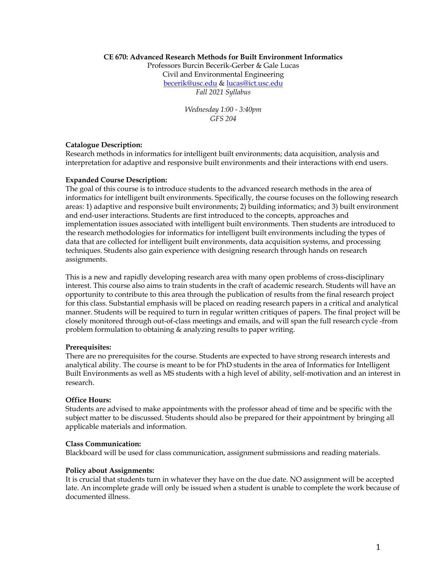# **CE 670: Advanced Research Methods for Built Environment Informatics**

Professors Burcin Becerik-Gerber & Gale Lucas Civil and Environmental Engineering becerik@usc.edu & lucas@ict.usc.edu *Fall 2021 Syllabus* 

> *Wednesday 1:00 - 3:40pm GFS 204*

### **Catalogue Description:**

Research methods in informatics for intelligent built environments; data acquisition, analysis and interpretation for adaptive and responsive built environments and their interactions with end users.

#### **Expanded Course Description:**

The goal of this course is to introduce students to the advanced research methods in the area of informatics for intelligent built environments. Specifically, the course focuses on the following research areas: 1) adaptive and responsive built environments; 2) building informatics; and 3) built environment and end-user interactions. Students are first introduced to the concepts, approaches and implementation issues associated with intelligent built environments. Then students are introduced to the research methodologies for informatics for intelligent built environments including the types of data that are collected for intelligent built environments, data acquisition systems, and processing techniques. Students also gain experience with designing research through hands on research assignments.

This is a new and rapidly developing research area with many open problems of cross-disciplinary interest. This course also aims to train students in the craft of academic research. Students will have an opportunity to contribute to this area through the publication of results from the final research project for this class. Substantial emphasis will be placed on reading research papers in a critical and analytical manner. Students will be required to turn in regular written critiques of papers. The final project will be closely monitored through out-of-class meetings and emails, and will span the full research cycle -from problem formulation to obtaining & analyzing results to paper writing.

#### **Prerequisites:**

There are no prerequisites for the course. Students are expected to have strong research interests and analytical ability. The course is meant to be for PhD students in the area of Informatics for Intelligent Built Environments as well as MS students with a high level of ability, self-motivation and an interest in research.

### **Office Hours:**

Students are advised to make appointments with the professor ahead of time and be specific with the subject matter to be discussed. Students should also be prepared for their appointment by bringing all applicable materials and information.

### **Class Communication:**

Blackboard will be used for class communication, assignment submissions and reading materials.

### **Policy about Assignments:**

It is crucial that students turn in whatever they have on the due date. NO assignment will be accepted late. An incomplete grade will only be issued when a student is unable to complete the work because of documented illness.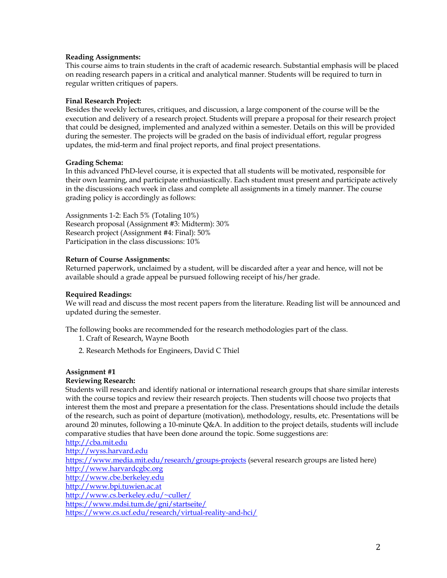## **Reading Assignments:**

This course aims to train students in the craft of academic research. Substantial emphasis will be placed on reading research papers in a critical and analytical manner. Students will be required to turn in regular written critiques of papers.

## **Final Research Project:**

Besides the weekly lectures, critiques, and discussion, a large component of the course will be the execution and delivery of a research project. Students will prepare a proposal for their research project that could be designed, implemented and analyzed within a semester. Details on this will be provided during the semester. The projects will be graded on the basis of individual effort, regular progress updates, the mid-term and final project reports, and final project presentations.

## **Grading Schema:**

In this advanced PhD-level course, it is expected that all students will be motivated, responsible for their own learning, and participate enthusiastically. Each student must present and participate actively in the discussions each week in class and complete all assignments in a timely manner. The course grading policy is accordingly as follows:

Assignments 1-2: Each 5% (Totaling 10%) Research proposal (Assignment #3: Midterm): 30% Research project (Assignment #4: Final): 50% Participation in the class discussions: 10%

## **Return of Course Assignments:**

Returned paperwork, unclaimed by a student, will be discarded after a year and hence, will not be available should a grade appeal be pursued following receipt of his/her grade.

### **Required Readings:**

We will read and discuss the most recent papers from the literature. Reading list will be announced and updated during the semester.

The following books are recommended for the research methodologies part of the class.

- 1. Craft of Research, Wayne Booth
- 2. Research Methods for Engineers, David C Thiel

### **Assignment #1**

### **Reviewing Research:**

Students will research and identify national or international research groups that share similar interests with the course topics and review their research projects. Then students will choose two projects that interest them the most and prepare a presentation for the class. Presentations should include the details of the research, such as point of departure (motivation), methodology, results, etc. Presentations will be around 20 minutes, following a 10-minute Q&A. In addition to the project details, students will include comparative studies that have been done around the topic. Some suggestions are:

http://cba.mit.edu http://wyss.harvard.edu https://www.media.mit.edu/research/groups-projects (several research groups are listed here) http://www.harvardcgbc.org http://www.cbe.berkeley.edu http://www.bpi.tuwien.ac.at http://www.cs.berkeley.edu/~culler/ https://www.mdsi.tum.de/gni/startseite/ https://www.cs.ucf.edu/research/virtual-reality-and-hci/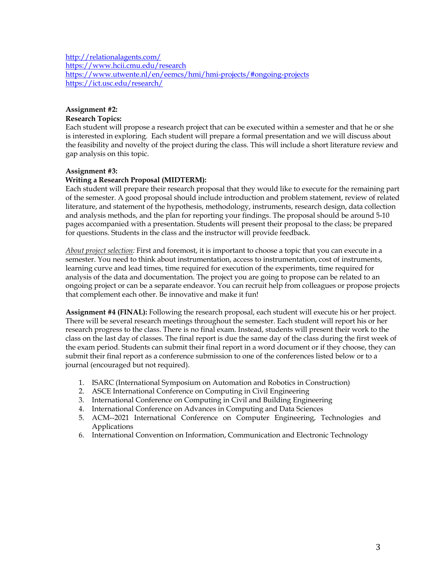http://relationalagents.com/ https://www.hcii.cmu.edu/research https://www.utwente.nl/en/eemcs/hmi/hmi-projects/#ongoing-projects https://ict.usc.edu/research/

# **Assignment #2:**

# **Research Topics:**

Each student will propose a research project that can be executed within a semester and that he or she is interested in exploring. Each student will prepare a formal presentation and we will discuss about the feasibility and novelty of the project during the class. This will include a short literature review and gap analysis on this topic.

## **Assignment #3:**

## **Writing a Research Proposal (MIDTERM):**

Each student will prepare their research proposal that they would like to execute for the remaining part of the semester. A good proposal should include introduction and problem statement, review of related literature, and statement of the hypothesis, methodology, instruments, research design, data collection and analysis methods, and the plan for reporting your findings. The proposal should be around 5-10 pages accompanied with a presentation. Students will present their proposal to the class; be prepared for questions. Students in the class and the instructor will provide feedback.

*About project selection:* First and foremost, it is important to choose a topic that you can execute in a semester. You need to think about instrumentation, access to instrumentation, cost of instruments, learning curve and lead times, time required for execution of the experiments, time required for analysis of the data and documentation. The project you are going to propose can be related to an ongoing project or can be a separate endeavor. You can recruit help from colleagues or propose projects that complement each other. Be innovative and make it fun!

**Assignment #4 (FINAL):** Following the research proposal, each student will execute his or her project. There will be several research meetings throughout the semester. Each student will report his or her research progress to the class. There is no final exam. Instead, students will present their work to the class on the last day of classes. The final report is due the same day of the class during the first week of the exam period. Students can submit their final report in a word document or if they choose, they can submit their final report as a conference submission to one of the conferences listed below or to a journal (encouraged but not required).

- 1. ISARC (International Symposium on Automation and Robotics in Construction)
- 2. ASCE International Conference on Computing in Civil Engineering
- 3. International Conference on Computing in Civil and Building Engineering
- 4. International Conference on Advances in Computing and Data Sciences
- 5. ACM--2021 International Conference on Computer Engineering, Technologies and Applications
- 6. International Convention on Information, Communication and Electronic Technology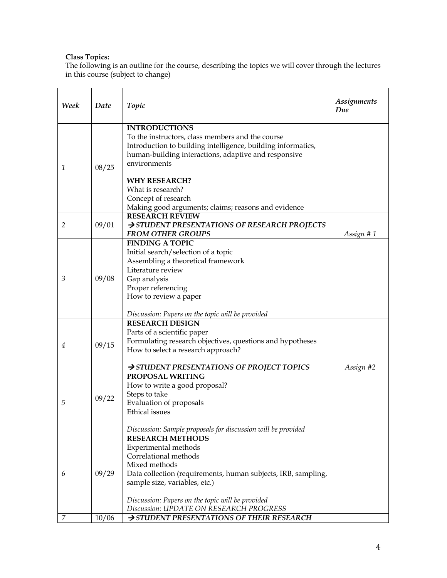# **Class Topics:**

The following is an outline for the course, describing the topics we will cover through the lectures in this course (subject to change)

| Week | Date  | Topic                                                                                                                                                                                                                                                                                      | <b>Assignments</b><br>Due |
|------|-------|--------------------------------------------------------------------------------------------------------------------------------------------------------------------------------------------------------------------------------------------------------------------------------------------|---------------------------|
| 1    | 08/25 | <b>INTRODUCTIONS</b><br>To the instructors, class members and the course<br>Introduction to building intelligence, building informatics,<br>human-building interactions, adaptive and responsive<br>environments                                                                           |                           |
|      |       | <b>WHY RESEARCH?</b><br>What is research?<br>Concept of research<br>Making good arguments; claims; reasons and evidence                                                                                                                                                                    |                           |
| 2    | 09/01 | <b>RESEARCH REVIEW</b><br>> STUDENT PRESENTATIONS OF RESEARCH PROJECTS<br><b>FROM OTHER GROUPS</b>                                                                                                                                                                                         | Assign #1                 |
| 3    | 09/08 | <b>FINDING A TOPIC</b><br>Initial search/selection of a topic<br>Assembling a theoretical framework<br>Literature review<br>Gap analysis<br>Proper referencing<br>How to review a paper                                                                                                    |                           |
| 4    | 09/15 | Discussion: Papers on the topic will be provided<br><b>RESEARCH DESIGN</b><br>Parts of a scientific paper<br>Formulating research objectives, questions and hypotheses<br>How to select a research approach?<br>→ STUDENT PRESENTATIONS OF PROJECT TOPICS                                  | Assign #2                 |
| 5    | 09/22 | PROPOSAL WRITING<br>How to write a good proposal?<br>Steps to take<br>Evaluation of proposals<br><b>Ethical</b> issues<br>Discussion: Sample proposals for discussion will be provided                                                                                                     |                           |
| 6    | 09/29 | <b>RESEARCH METHODS</b><br>Experimental methods<br>Correlational methods<br>Mixed methods<br>Data collection (requirements, human subjects, IRB, sampling,<br>sample size, variables, etc.)<br>Discussion: Papers on the topic will be provided<br>Discussion: UPDATE ON RESEARCH PROGRESS |                           |
| 7    | 10/06 | STUDENT PRESENTATIONS OF THEIR RESEARCH                                                                                                                                                                                                                                                    |                           |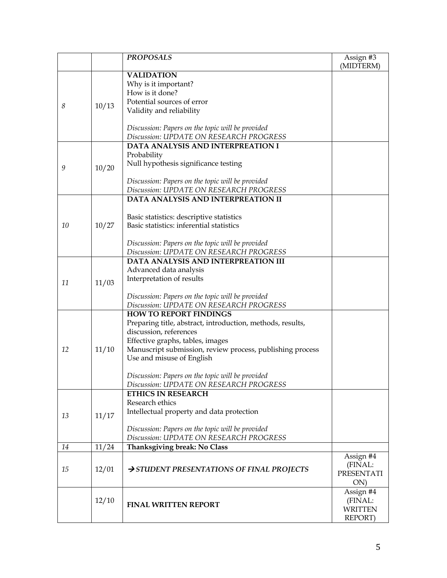|    |       | <b>PROPOSALS</b>                                                                            | Assign #3                |
|----|-------|---------------------------------------------------------------------------------------------|--------------------------|
|    |       |                                                                                             | (MIDTERM)                |
|    |       | <b>VALIDATION</b>                                                                           |                          |
| 8  |       | Why is it important?                                                                        |                          |
|    |       | How is it done?                                                                             |                          |
|    | 10/13 | Potential sources of error                                                                  |                          |
|    |       | Validity and reliability                                                                    |                          |
|    |       | Discussion: Papers on the topic will be provided                                            |                          |
|    |       | Discussion: UPDATE ON RESEARCH PROGRESS                                                     |                          |
|    |       | DATA ANALYSIS AND INTERPREATION I                                                           |                          |
|    |       | Probability                                                                                 |                          |
|    |       | Null hypothesis significance testing                                                        |                          |
| 9  | 10/20 |                                                                                             |                          |
|    |       | Discussion: Papers on the topic will be provided                                            |                          |
|    |       | Discussion: UPDATE ON RESEARCH PROGRESS                                                     |                          |
|    |       | DATA ANALYSIS AND INTERPREATION II                                                          |                          |
|    |       | Basic statistics: descriptive statistics                                                    |                          |
| 10 | 10/27 | Basic statistics: inferential statistics                                                    |                          |
|    |       |                                                                                             |                          |
|    |       | Discussion: Papers on the topic will be provided                                            |                          |
|    |       | Discussion: UPDATE ON RESEARCH PROGRESS                                                     |                          |
|    |       | DATA ANALYSIS AND INTERPREATION III                                                         |                          |
|    |       | Advanced data analysis                                                                      |                          |
| 11 | 11/03 | Interpretation of results                                                                   |                          |
|    |       |                                                                                             |                          |
|    |       | Discussion: Papers on the topic will be provided<br>Discussion: UPDATE ON RESEARCH PROGRESS |                          |
|    |       | <b>HOW TO REPORT FINDINGS</b>                                                               |                          |
|    |       | Preparing title, abstract, introduction, methods, results,                                  |                          |
|    | 11/10 | discussion, references                                                                      |                          |
|    |       | Effective graphs, tables, images                                                            |                          |
| 12 |       | Manuscript submission, review process, publishing process                                   |                          |
|    |       | Use and misuse of English                                                                   |                          |
|    |       |                                                                                             |                          |
|    |       | Discussion: Papers on the topic will be provided                                            |                          |
|    |       | Discussion: UPDATE ON RESEARCH PROGRESS                                                     |                          |
|    |       | <b>ETHICS IN RESEARCH</b><br>Research ethics                                                |                          |
|    |       | Intellectual property and data protection                                                   |                          |
| 13 | 11/17 |                                                                                             |                          |
|    |       | Discussion: Papers on the topic will be provided                                            |                          |
|    |       | Discussion: UPDATE ON RESEARCH PROGRESS                                                     |                          |
| 14 | 11/24 | Thanksgiving break: No Class                                                                |                          |
| 15 | 12/01 | → STUDENT PRESENTATIONS OF FINAL PROJECTS                                                   | Assign #4                |
|    |       |                                                                                             | (FINAL:                  |
|    |       |                                                                                             | <b>PRESENTATI</b><br>ON) |
|    |       |                                                                                             | Assign #4                |
|    | 12/10 |                                                                                             | (FINAL:                  |
|    |       | <b>FINAL WRITTEN REPORT</b>                                                                 | <b>WRITTEN</b>           |
|    |       |                                                                                             | <b>REPORT)</b>           |